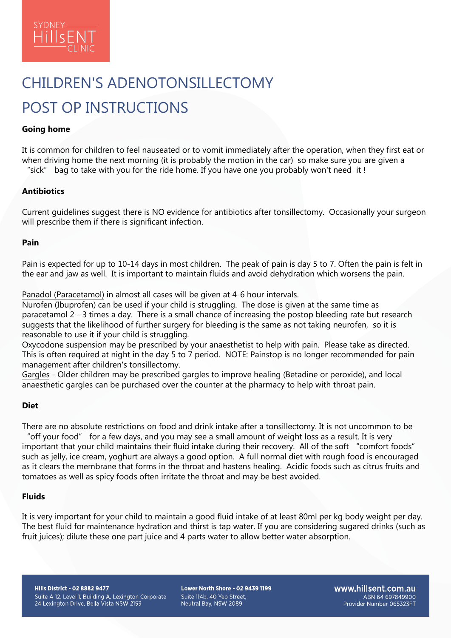

# CHILDREN'S ADENOTONSILLECTOMY POST OP INSTRUCTIONS

## **Going home**

It is common for children to feel nauseated or to vomit immediately after the operation, when they first eat or when driving home the next morning (it is probably the motion in the car) so make sure you are given a

"sick" bag to take with you for the ride home. If you have one you probably won't need it !

# **Antibiotics**

Current guidelines suggest there is NO evidence for antibiotics after tonsillectomy. Occasionally your surgeon will prescribe them if there is significant infection.

#### **Pain**

Pain is expected for up to 10-14 days in most children. The peak of pain is day 5 to 7. Often the pain is felt in the ear and jaw as well. It is important to maintain fluids and avoid dehydration which worsens the pain.

Panadol (Paracetamol) in almost all cases will be given at 4-6 hour intervals.

Nurofen (Ibuprofen) can be used if your child is struggling. The dose is given at the same time as paracetamol 2 - 3 times a day. There is a small chance of increasing the postop bleeding rate but research suggests that the likelihood of further surgery for bleeding is the same as not taking neurofen, so it is reasonable to use it if your child is struggling.

Oxycodone suspension may be prescribed by your anaesthetist to help with pain. Please take as directed. This is often required at night in the day 5 to 7 period. NOTE: Painstop is no longer recommended for pain management after children's tonsillectomy.

Gargles - Older children may be prescribed gargles to improve healing (Betadine or peroxide), and local anaesthetic gargles can be purchased over the counter at the pharmacy to help with throat pain.

## **Diet**

There are no absolute restrictions on food and drink intake after a tonsillectomy. It is not uncommon to be

"off your food" for a few days, and you may see a small amount of weight loss as a result. It is very important that your child maintains their fluid intake during their recovery. All of the soft "comfort foods" such as jelly, ice cream, yoghurt are always a good option. A full normal diet with rough food is encouraged as it clears the membrane that forms in the throat and hastens healing. Acidic foods such as citrus fruits and tomatoes as well as spicy foods often irritate the throat and may be best avoided.

#### **Fluids**

It is very important for your child to maintain a good fluid intake of at least 80ml per kg body weight per day. The best fluid for maintenance hydration and thirst is tap water. If you are considering sugared drinks (such as fruit juices); dilute these one part juice and 4 parts water to allow better water absorption.

**Hills District - 02 8882 9477** Suite A 12, Level 1, Building A, Lexington Corporate 24 Lexington Drive, Bella Vista NSW 2153

Lower North Shore - 02 9439 1199 Suite 114b, 40 Yeo Street. Neutral Bay, NSW 2089

www.hillsent.com.au ABN 64 697849900 Provider Number 065323FT